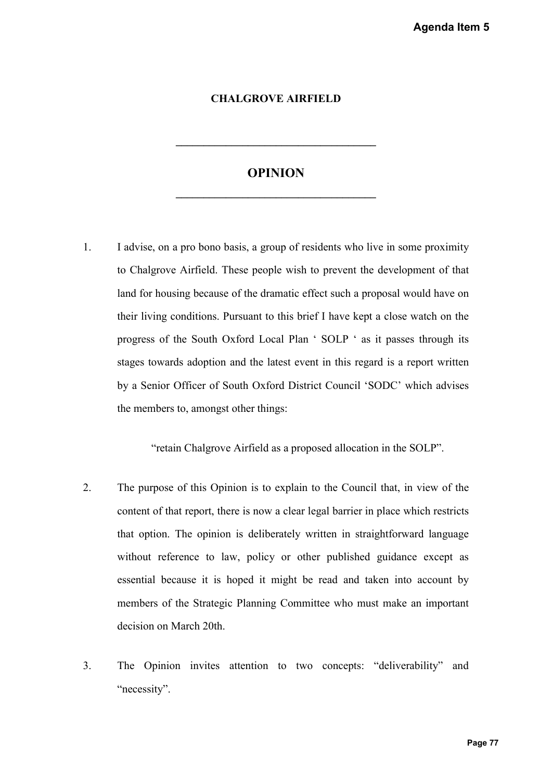## **CHALGROVE AIRFIELD**

## **OPINION**

**\_\_\_\_\_\_\_\_\_\_\_\_\_\_\_\_\_\_\_\_\_\_\_\_\_\_\_\_\_\_\_\_\_\_\_\_**

**\_\_\_\_\_\_\_\_\_\_\_\_\_\_\_\_\_\_\_\_\_\_\_\_\_\_\_\_\_\_\_\_\_\_\_\_**

1. I advise, on a pro bono basis, a group of residents who live in some proximity to Chalgrove Airfield. These people wish to prevent the development of that land for housing because of the dramatic effect such a proposal would have on their living conditions. Pursuant to this brief I have kept a close watch on the progress of the South Oxford Local Plan ' SOLP ' as it passes through its stages towards adoption and the latest event in this regard is a report written by a Senior Officer of South Oxford District Council 'SODC' which advises the members to, amongst other things: Agenda Item 5<br>
ne proximity<br>
ment of that<br>
suld have on<br>
watch on the<br>
sthrough its<br>
sport written<br>
hich advises<br>
SOLP".<br>
view of the<br>
hich restricts<br>
ard language<br>
e except as<br>
account by<br>
an important<br>
bility" and<br>
Page

"retain Chalgrove Airfield as a proposed allocation in the SOLP".

- 2. The purpose of this Opinion is to explain to the Council that, in view of the content of that report, there is now a clear legal barrier in place which restricts that option. The opinion is deliberately written in straightforward language without reference to law, policy or other published guidance except as essential because it is hoped it might be read and taken into account by members of the Strategic Planning Committee who must make an important decision on March 20th.
- 3. The Opinion invites attention to two concepts: "deliverability" and "necessity".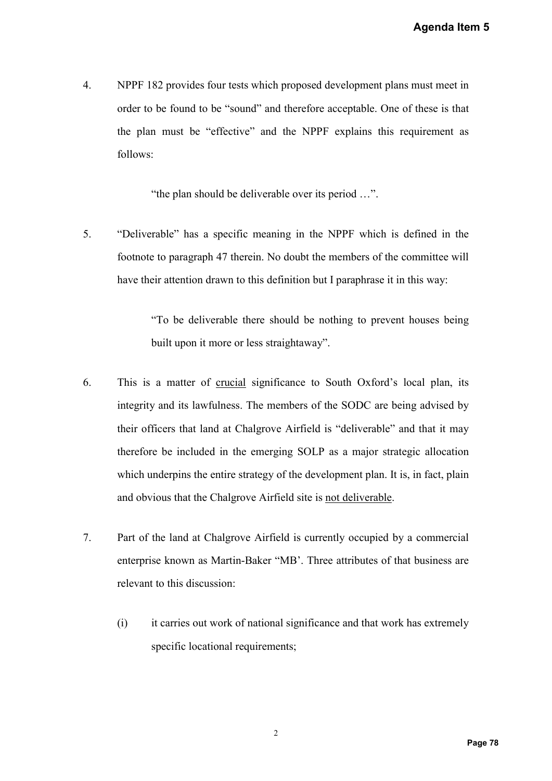4. NPPF 182 provides four tests which proposed development plans must meet in order to be found to be "sound" and therefore acceptable. One of these is that the plan must be "effective" and the NPPF explains this requirement as follows:

"the plan should be deliverable over its period …".

5. "Deliverable" has a specific meaning in the NPPF which is defined in the footnote to paragraph 47 therein. No doubt the members of the committee will have their attention drawn to this definition but I paraphrase it in this way:

> "To be deliverable there should be nothing to prevent houses being built upon it more or less straightaway".

- 6. This is a matter of crucial significance to South Oxford's local plan, its integrity and its lawfulness. The members of the SODC are being advised by their officers that land at Chalgrove Airfield is "deliverable" and that it may therefore be included in the emerging SOLP as a major strategic allocation which underpins the entire strategy of the development plan. It is, in fact, plain and obvious that the Chalgrove Airfield site is not deliverable. Agenda Item 5<br>must meet in<br>these is that<br>uirement as<br>firmed in the<br>mittee will<br>is way:<br>nouses being<br>cal plan, its<br>g advised by<br>l that it may<br>ic allocation<br>in fact, plain<br>commercial<br>business are<br>as extremely
- 7. Part of the land at Chalgrove Airfield is currently occupied by a commercial enterprise known as Martin-Baker "MB'. Three attributes of that business are relevant to this discussion:
	- (i) it carries out work of national significance and that work has extremely specific locational requirements;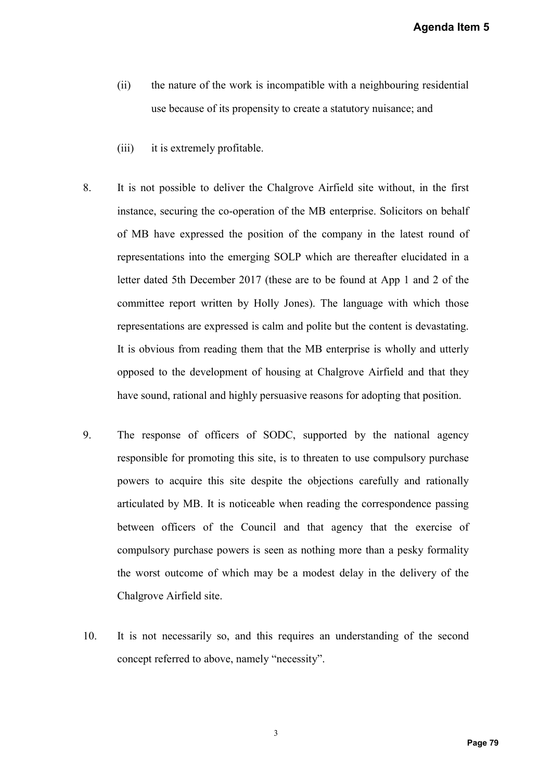Agenda Item 5

- (ii) the nature of the work is incompatible with a neighbouring residential use because of its propensity to create a statutory nuisance; and
- (iii) it is extremely profitable.
- 8. It is not possible to deliver the Chalgrove Airfield site without, in the first instance, securing the co-operation of the MB enterprise. Solicitors on behalf of MB have expressed the position of the company in the latest round of representations into the emerging SOLP which are thereafter elucidated in a letter dated 5th December 2017 (these are to be found at App 1 and 2 of the committee report written by Holly Jones). The language with which those representations are expressed is calm and polite but the content is devastating. It is obvious from reading them that the MB enterprise is wholly and utterly opposed to the development of housing at Chalgrove Airfield and that they have sound, rational and highly persuasive reasons for adopting that position. **Agenda Item 5**<br>g residential<br>and<br>and<br>b. in the first<br>ors on behalf<br>ext round of<br>icidated in a<br>and 2 of the<br>which those<br>devastating.<br>y and utterly<br>nd that they<br>at position.<br>pal agency<br>party purchase<br>d rationally<br>ence passi
- 9. The response of officers of SODC, supported by the national agency responsible for promoting this site, is to threaten to use compulsory purchase powers to acquire this site despite the objections carefully and rationally articulated by MB. It is noticeable when reading the correspondence passing between officers of the Council and that agency that the exercise of compulsory purchase powers is seen as nothing more than a pesky formality the worst outcome of which may be a modest delay in the delivery of the Chalgrove Airfield site.
- 10. It is not necessarily so, and this requires an understanding of the second concept referred to above, namely "necessity".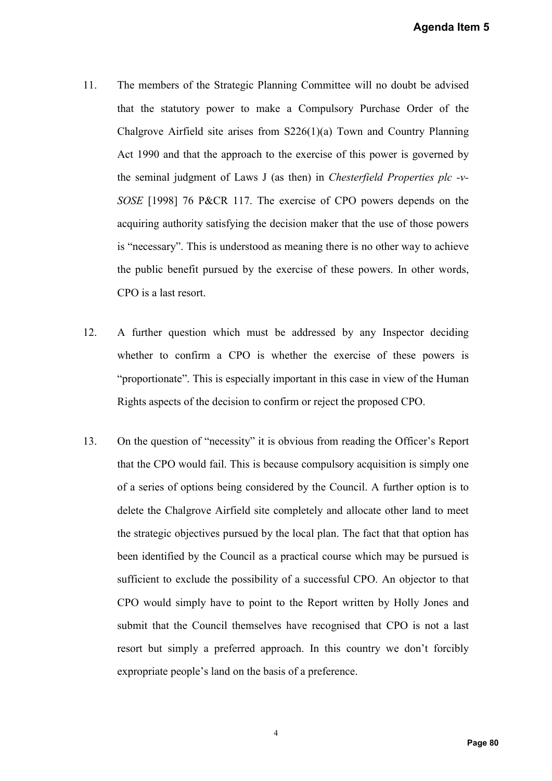- 11. The members of the Strategic Planning Committee will no doubt be advised that the statutory power to make a Compulsory Purchase Order of the Chalgrove Airfield site arises from S226(1)(a) Town and Country Planning Act 1990 and that the approach to the exercise of this power is governed by the seminal judgment of Laws J (as then) in *Chesterfield Properties plc -v-SOSE* [1998] 76 P&CR 117. The exercise of CPO powers depends on the acquiring authority satisfying the decision maker that the use of those powers is "necessary". This is understood as meaning there is no other way to achieve the public benefit pursued by the exercise of these powers. In other words, CPO is a last resort.
- 12. A further question which must be addressed by any Inspector deciding whether to confirm a CPO is whether the exercise of these powers is "proportionate". This is especially important in this case in view of the Human Rights aspects of the decision to confirm or reject the proposed CPO.
- 13. On the question of "necessity" it is obvious from reading the Officer's Report that the CPO would fail. This is because compulsory acquisition is simply one of a series of options being considered by the Council. A further option is to delete the Chalgrove Airfield site completely and allocate other land to meet the strategic objectives pursued by the local plan. The fact that that option has been identified by the Council as a practical course which may be pursued is sufficient to exclude the possibility of a successful CPO. An objector to that CPO would simply have to point to the Report written by Holly Jones and submit that the Council themselves have recognised that CPO is not a last resort but simply a preferred approach. In this country we don't forcibly expropriate people's land on the basis of a preference. Agenda Item 5<br>
t be advised<br>
order of the<br>
try Planning<br>
governed by<br>
prties plc -v-<br>
ends on the<br>
hose powers<br>
y to achieve<br>
other words,<br>
tor deciding<br>
e powers is<br>
f the Human<br>
PO.<br>
cer's Report<br>
s simply one<br>
option is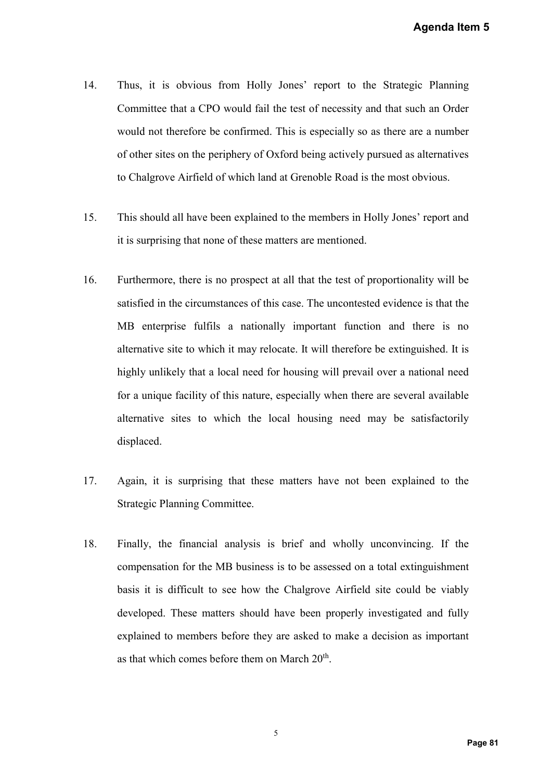- 14. Thus, it is obvious from Holly Jones' report to the Strategic Planning Committee that a CPO would fail the test of necessity and that such an Order would not therefore be confirmed. This is especially so as there are a number of other sites on the periphery of Oxford being actively pursued as alternatives to Chalgrove Airfield of which land at Grenoble Road is the most obvious.
- 15. This should all have been explained to the members in Holly Jones' report and it is surprising that none of these matters are mentioned.
- 16. Furthermore, there is no prospect at all that the test of proportionality will be satisfied in the circumstances of this case. The uncontested evidence is that the MB enterprise fulfils a nationally important function and there is no alternative site to which it may relocate. It will therefore be extinguished. It is highly unlikely that a local need for housing will prevail over a national need for a unique facility of this nature, especially when there are several available alternative sites to which the local housing need may be satisfactorily displaced. Agenda Item 5<br>
ic Planning<br>
uch an Order<br>
a number<br>
alternatives<br>
obvious.<br>
s' report and<br>
ality will be<br>
ce is that the<br>
there is no<br>
guished. It is<br>
ational need<br>
ral available<br>
satisfactorily<br>
ained to the<br>
cing. If the
- 17. Again, it is surprising that these matters have not been explained to the Strategic Planning Committee.
- 18. Finally, the financial analysis is brief and wholly unconvincing. If the compensation for the MB business is to be assessed on a total extinguishment basis it is difficult to see how the Chalgrove Airfield site could be viably developed. These matters should have been properly investigated and fully explained to members before they are asked to make a decision as important as that which comes before them on March 20<sup>th</sup>.